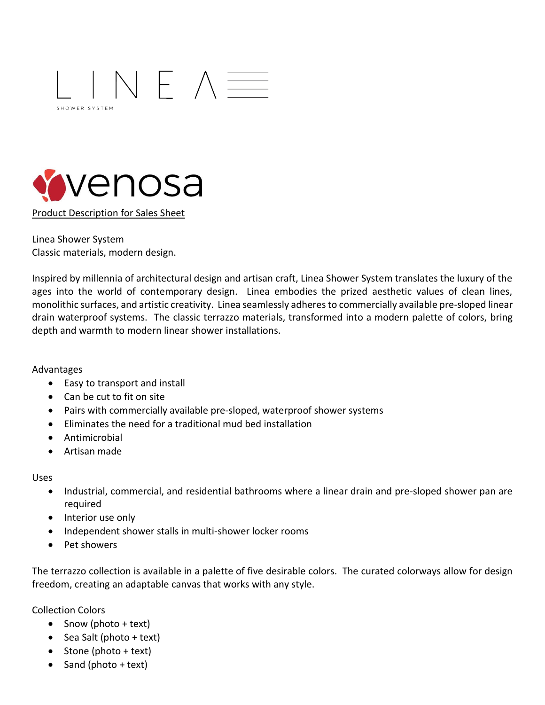



Product Description for Sales Sheet

Linea Shower System Classic materials, modern design.

Inspired by millennia of architectural design and artisan craft, Linea Shower System translates the luxury of the ages into the world of contemporary design. Linea embodies the prized aesthetic values of clean lines, monolithic surfaces, and artistic creativity. Linea seamlessly adheresto commercially available pre-sloped linear drain waterproof systems. The classic terrazzo materials, transformed into a modern palette of colors, bring depth and warmth to modern linear shower installations.

Advantages

- Easy to transport and install
- Can be cut to fit on site
- Pairs with commercially available pre-sloped, waterproof shower systems
- Eliminates the need for a traditional mud bed installation
- Antimicrobial
- Artisan made

Uses

- Industrial, commercial, and residential bathrooms where a linear drain and pre-sloped shower pan are required
- Interior use only
- Independent shower stalls in multi-shower locker rooms
- Pet showers

The terrazzo collection is available in a palette of five desirable colors. The curated colorways allow for design freedom, creating an adaptable canvas that works with any style.

Collection Colors

- Snow (photo + text)
- Sea Salt (photo + text)
- Stone (photo + text)
- Sand (photo + text)